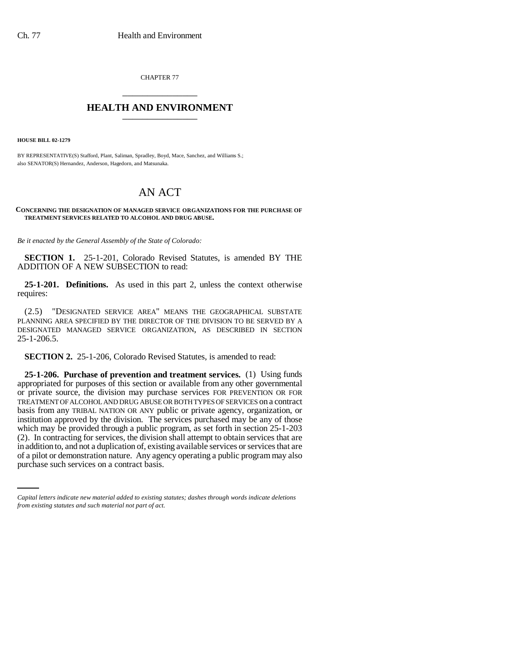CHAPTER 77 \_\_\_\_\_\_\_\_\_\_\_\_\_\_\_

## **HEALTH AND ENVIRONMENT** \_\_\_\_\_\_\_\_\_\_\_\_\_\_\_

**HOUSE BILL 02-1279**

BY REPRESENTATIVE(S) Stafford, Plant, Saliman, Spradley, Boyd, Mace, Sanchez, and Williams S.; also SENATOR(S) Hernandez, Anderson, Hagedorn, and Matsunaka.

## AN ACT

## **CONCERNING THE DESIGNATION OF MANAGED SERVICE ORGANIZATIONS FOR THE PURCHASE OF TREATMENT SERVICES RELATED TO ALCOHOL AND DRUG ABUSE.**

*Be it enacted by the General Assembly of the State of Colorado:*

**SECTION 1.** 25-1-201, Colorado Revised Statutes, is amended BY THE ADDITION OF A NEW SUBSECTION to read:

**25-1-201. Definitions.** As used in this part 2, unless the context otherwise requires:

(2.5) "DESIGNATED SERVICE AREA" MEANS THE GEOGRAPHICAL SUBSTATE PLANNING AREA SPECIFIED BY THE DIRECTOR OF THE DIVISION TO BE SERVED BY A DESIGNATED MANAGED SERVICE ORGANIZATION, AS DESCRIBED IN SECTION 25-1-206.5.

**SECTION 2.** 25-1-206, Colorado Revised Statutes, is amended to read:

in addition to, and not a duplication of, existing available services or services that are **25-1-206. Purchase of prevention and treatment services.** (1) Using funds appropriated for purposes of this section or available from any other governmental or private source, the division may purchase services FOR PREVENTION OR FOR TREATMENT OF ALCOHOL AND DRUG ABUSE OR BOTH TYPES OF SERVICES on a contract basis from any TRIBAL NATION OR ANY public or private agency, organization, or institution approved by the division. The services purchased may be any of those which may be provided through a public program, as set forth in section 25-1-203 (2). In contracting for services, the division shall attempt to obtain services that are of a pilot or demonstration nature. Any agency operating a public program may also purchase such services on a contract basis.

*Capital letters indicate new material added to existing statutes; dashes through words indicate deletions from existing statutes and such material not part of act.*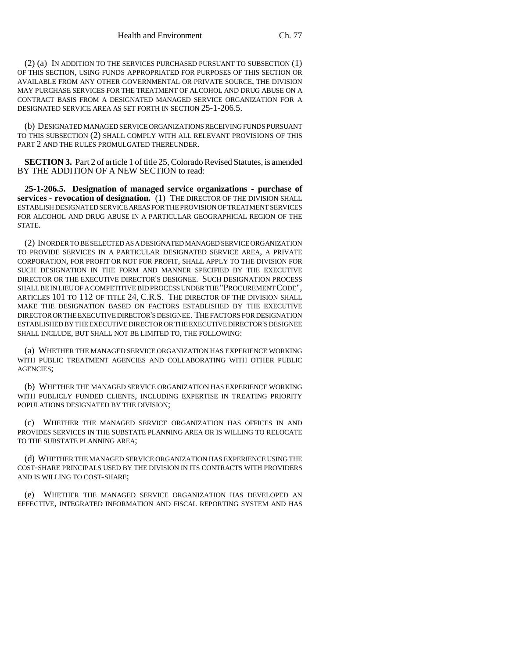(2) (a) IN ADDITION TO THE SERVICES PURCHASED PURSUANT TO SUBSECTION (1) OF THIS SECTION, USING FUNDS APPROPRIATED FOR PURPOSES OF THIS SECTION OR AVAILABLE FROM ANY OTHER GOVERNMENTAL OR PRIVATE SOURCE, THE DIVISION MAY PURCHASE SERVICES FOR THE TREATMENT OF ALCOHOL AND DRUG ABUSE ON A CONTRACT BASIS FROM A DESIGNATED MANAGED SERVICE ORGANIZATION FOR A DESIGNATED SERVICE AREA AS SET FORTH IN SECTION 25-1-206.5.

(b) DESIGNATED MANAGED SERVICE ORGANIZATIONS RECEIVING FUNDS PURSUANT TO THIS SUBSECTION (2) SHALL COMPLY WITH ALL RELEVANT PROVISIONS OF THIS PART 2 AND THE RULES PROMULGATED THEREUNDER.

**SECTION 3.** Part 2 of article 1 of title 25, Colorado Revised Statutes, is amended BY THE ADDITION OF A NEW SECTION to read:

**25-1-206.5. Designation of managed service organizations - purchase of services - revocation of designation.** (1) THE DIRECTOR OF THE DIVISION SHALL ESTABLISH DESIGNATED SERVICE AREAS FOR THE PROVISION OF TREATMENT SERVICES FOR ALCOHOL AND DRUG ABUSE IN A PARTICULAR GEOGRAPHICAL REGION OF THE STATE.

(2) IN ORDER TO BE SELECTED AS A DESIGNATED MANAGED SERVICE ORGANIZATION TO PROVIDE SERVICES IN A PARTICULAR DESIGNATED SERVICE AREA, A PRIVATE CORPORATION, FOR PROFIT OR NOT FOR PROFIT, SHALL APPLY TO THE DIVISION FOR SUCH DESIGNATION IN THE FORM AND MANNER SPECIFIED BY THE EXECUTIVE DIRECTOR OR THE EXECUTIVE DIRECTOR'S DESIGNEE. SUCH DESIGNATION PROCESS SHALL BE IN LIEU OF A COMPETITIVE BID PROCESS UNDER THE "PROCUREMENT CODE", ARTICLES 101 TO 112 OF TITLE 24, C.R.S. THE DIRECTOR OF THE DIVISION SHALL MAKE THE DESIGNATION BASED ON FACTORS ESTABLISHED BY THE EXECUTIVE DIRECTOR OR THE EXECUTIVE DIRECTOR'S DESIGNEE. THE FACTORS FOR DESIGNATION ESTABLISHED BY THE EXECUTIVE DIRECTOR OR THE EXECUTIVE DIRECTOR'S DESIGNEE SHALL INCLUDE, BUT SHALL NOT BE LIMITED TO, THE FOLLOWING:

(a) WHETHER THE MANAGED SERVICE ORGANIZATION HAS EXPERIENCE WORKING WITH PUBLIC TREATMENT AGENCIES AND COLLABORATING WITH OTHER PUBLIC AGENCIES;

(b) WHETHER THE MANAGED SERVICE ORGANIZATION HAS EXPERIENCE WORKING WITH PUBLICLY FUNDED CLIENTS, INCLUDING EXPERTISE IN TREATING PRIORITY POPULATIONS DESIGNATED BY THE DIVISION;

(c) WHETHER THE MANAGED SERVICE ORGANIZATION HAS OFFICES IN AND PROVIDES SERVICES IN THE SUBSTATE PLANNING AREA OR IS WILLING TO RELOCATE TO THE SUBSTATE PLANNING AREA;

(d) WHETHER THE MANAGED SERVICE ORGANIZATION HAS EXPERIENCE USING THE COST-SHARE PRINCIPALS USED BY THE DIVISION IN ITS CONTRACTS WITH PROVIDERS AND IS WILLING TO COST-SHARE;

(e) WHETHER THE MANAGED SERVICE ORGANIZATION HAS DEVELOPED AN EFFECTIVE, INTEGRATED INFORMATION AND FISCAL REPORTING SYSTEM AND HAS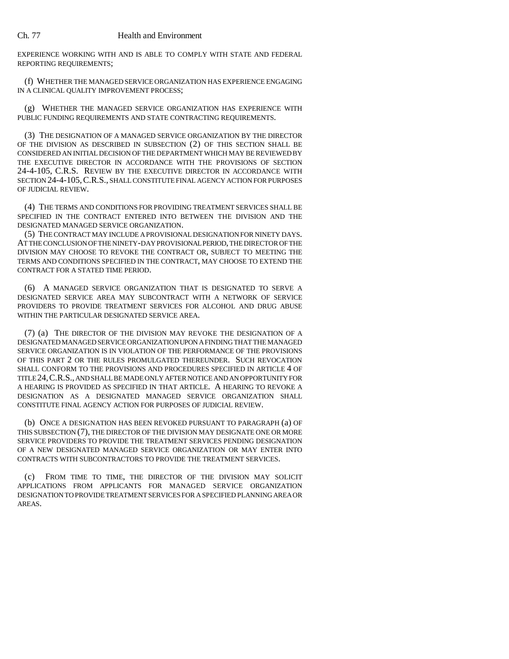EXPERIENCE WORKING WITH AND IS ABLE TO COMPLY WITH STATE AND FEDERAL REPORTING REQUIREMENTS;

(f) WHETHER THE MANAGED SERVICE ORGANIZATION HAS EXPERIENCE ENGAGING IN A CLINICAL QUALITY IMPROVEMENT PROCESS;

(g) WHETHER THE MANAGED SERVICE ORGANIZATION HAS EXPERIENCE WITH PUBLIC FUNDING REQUIREMENTS AND STATE CONTRACTING REQUIREMENTS.

(3) THE DESIGNATION OF A MANAGED SERVICE ORGANIZATION BY THE DIRECTOR OF THE DIVISION AS DESCRIBED IN SUBSECTION (2) OF THIS SECTION SHALL BE CONSIDERED AN INITIAL DECISION OF THE DEPARTMENT WHICH MAY BE REVIEWED BY THE EXECUTIVE DIRECTOR IN ACCORDANCE WITH THE PROVISIONS OF SECTION 24-4-105, C.R.S. REVIEW BY THE EXECUTIVE DIRECTOR IN ACCORDANCE WITH SECTION 24-4-105,C.R.S., SHALL CONSTITUTE FINAL AGENCY ACTION FOR PURPOSES OF JUDICIAL REVIEW.

(4) THE TERMS AND CONDITIONS FOR PROVIDING TREATMENT SERVICES SHALL BE SPECIFIED IN THE CONTRACT ENTERED INTO BETWEEN THE DIVISION AND THE DESIGNATED MANAGED SERVICE ORGANIZATION.

(5) THE CONTRACT MAY INCLUDE A PROVISIONAL DESIGNATION FOR NINETY DAYS. AT THE CONCLUSION OF THE NINETY-DAY PROVISIONAL PERIOD, THE DIRECTOR OF THE DIVISION MAY CHOOSE TO REVOKE THE CONTRACT OR, SUBJECT TO MEETING THE TERMS AND CONDITIONS SPECIFIED IN THE CONTRACT, MAY CHOOSE TO EXTEND THE CONTRACT FOR A STATED TIME PERIOD.

(6) A MANAGED SERVICE ORGANIZATION THAT IS DESIGNATED TO SERVE A DESIGNATED SERVICE AREA MAY SUBCONTRACT WITH A NETWORK OF SERVICE PROVIDERS TO PROVIDE TREATMENT SERVICES FOR ALCOHOL AND DRUG ABUSE WITHIN THE PARTICULAR DESIGNATED SERVICE AREA.

(7) (a) THE DIRECTOR OF THE DIVISION MAY REVOKE THE DESIGNATION OF A DESIGNATED MANAGED SERVICE ORGANIZATION UPON A FINDING THAT THE MANAGED SERVICE ORGANIZATION IS IN VIOLATION OF THE PERFORMANCE OF THE PROVISIONS OF THIS PART 2 OR THE RULES PROMULGATED THEREUNDER. SUCH REVOCATION SHALL CONFORM TO THE PROVISIONS AND PROCEDURES SPECIFIED IN ARTICLE 4 OF TITLE 24,C.R.S., AND SHALL BE MADE ONLY AFTER NOTICE AND AN OPPORTUNITY FOR A HEARING IS PROVIDED AS SPECIFIED IN THAT ARTICLE. A HEARING TO REVOKE A DESIGNATION AS A DESIGNATED MANAGED SERVICE ORGANIZATION SHALL CONSTITUTE FINAL AGENCY ACTION FOR PURPOSES OF JUDICIAL REVIEW.

(b) ONCE A DESIGNATION HAS BEEN REVOKED PURSUANT TO PARAGRAPH (a) OF THIS SUBSECTION (7), THE DIRECTOR OF THE DIVISION MAY DESIGNATE ONE OR MORE SERVICE PROVIDERS TO PROVIDE THE TREATMENT SERVICES PENDING DESIGNATION OF A NEW DESIGNATED MANAGED SERVICE ORGANIZATION OR MAY ENTER INTO CONTRACTS WITH SUBCONTRACTORS TO PROVIDE THE TREATMENT SERVICES.

(c) FROM TIME TO TIME, THE DIRECTOR OF THE DIVISION MAY SOLICIT APPLICATIONS FROM APPLICANTS FOR MANAGED SERVICE ORGANIZATION DESIGNATION TO PROVIDE TREATMENT SERVICES FOR A SPECIFIED PLANNING AREA OR AREAS.